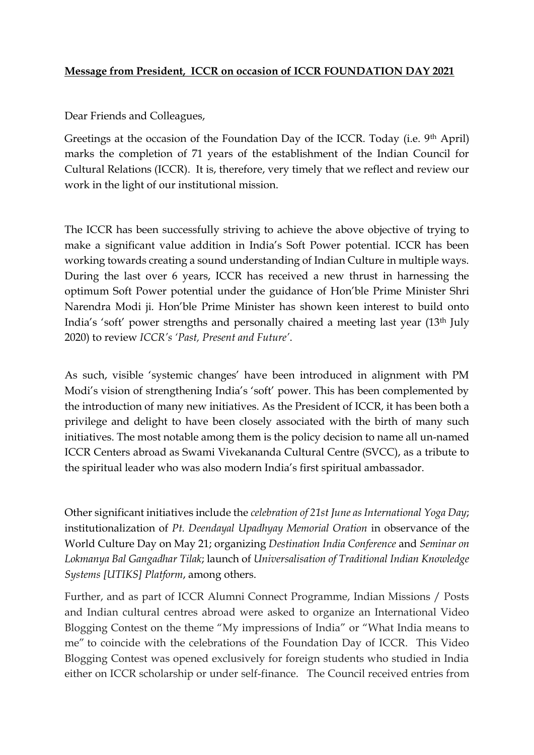## **Message from President, ICCR on occasion of ICCR FOUNDATION DAY 2021**

Dear Friends and Colleagues,

Greetings at the occasion of the Foundation Day of the ICCR. Today (i.e. 9th April) marks the completion of 71 years of the establishment of the Indian Council for Cultural Relations (ICCR). It is, therefore, very timely that we reflect and review our work in the light of our institutional mission.

The ICCR has been successfully striving to achieve the above objective of trying to make a significant value addition in India's Soft Power potential. ICCR has been working towards creating a sound understanding of Indian Culture in multiple ways. During the last over 6 years, ICCR has received a new thrust in harnessing the optimum Soft Power potential under the guidance of Hon'ble Prime Minister Shri Narendra Modi ji. Hon'ble Prime Minister has shown keen interest to build onto India's 'soft' power strengths and personally chaired a meeting last year (13th July 2020) to review *ICCR's 'Past, Present and Future'*.

As such, visible 'systemic changes' have been introduced in alignment with PM Modi's vision of strengthening India's 'soft' power. This has been complemented by the introduction of many new initiatives. As the President of ICCR, it has been both a privilege and delight to have been closely associated with the birth of many such initiatives. The most notable among them is the policy decision to name all un-named ICCR Centers abroad as Swami Vivekananda Cultural Centre (SVCC), as a tribute to the spiritual leader who was also modern India's first spiritual ambassador.

Other significant initiatives include the *celebration of 21st June as International Yoga Day*; institutionalization of *Pt. Deendayal Upadhyay Memorial Oration* in observance of the World Culture Day on May 21; organizing *Destination India Conference* and *Seminar on Lokmanya Bal Gangadhar Tilak*; launch of *Universalisation of Traditional Indian Knowledge Systems [UTIKS] Platform*, among others.

Further, and as part of ICCR Alumni Connect Programme, Indian Missions / Posts and Indian cultural centres abroad were asked to organize an International Video Blogging Contest on the theme "My impressions of India" or "What India means to me" to coincide with the celebrations of the Foundation Day of ICCR. This Video Blogging Contest was opened exclusively for foreign students who studied in India either on ICCR scholarship or under self-finance. The Council received entries from